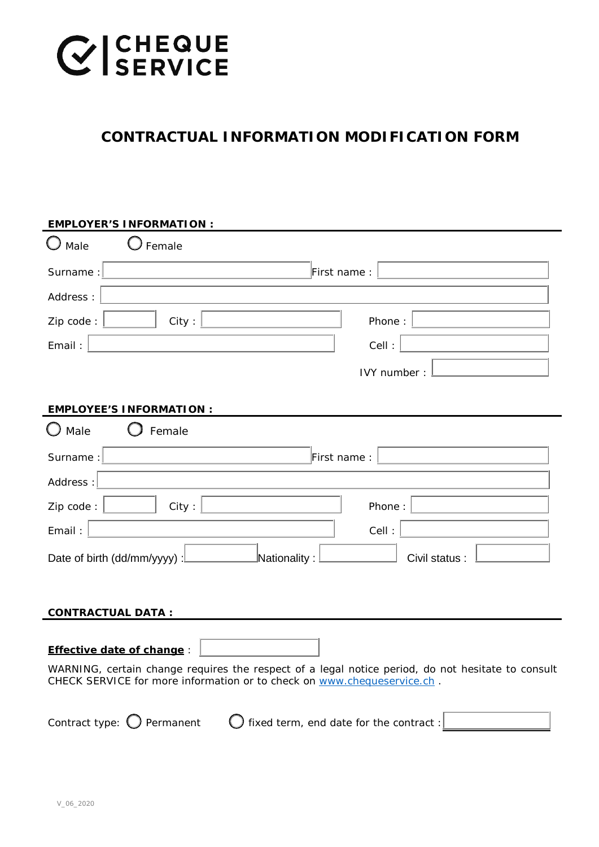## **CESSERVICE**

### **CONTRACTUAL INFORMATION MODIFICATION FORM**

| <b>EMPLOYER'S INFORMATION:</b>                                                                                                                                               |  |  |
|------------------------------------------------------------------------------------------------------------------------------------------------------------------------------|--|--|
| Male<br>Female                                                                                                                                                               |  |  |
| First name:<br>Surname:                                                                                                                                                      |  |  |
| Address:                                                                                                                                                                     |  |  |
| City:<br>Zip code:<br>Phone:                                                                                                                                                 |  |  |
| Email:<br>Cell:                                                                                                                                                              |  |  |
| IVY number:                                                                                                                                                                  |  |  |
| <b>EMPLOYEE'S INFORMATION:</b>                                                                                                                                               |  |  |
| $\bigcup$ Male<br>Female                                                                                                                                                     |  |  |
| Surname:<br>First name:                                                                                                                                                      |  |  |
| Address:                                                                                                                                                                     |  |  |
| Zip code:<br>City:<br>Phone:                                                                                                                                                 |  |  |
| Email:<br>Cell:                                                                                                                                                              |  |  |
| Nationality:<br>Date of birth (dd/mm/yyyy) :<br>Civil status:                                                                                                                |  |  |
|                                                                                                                                                                              |  |  |
| <b>CONTRACTUAL DATA:</b>                                                                                                                                                     |  |  |
| <b>Effective date of change:</b>                                                                                                                                             |  |  |
| WARNING, certain change requires the respect of a legal notice period, do not hesitate to consult<br>CHECK SERVICE for more information or to check on www.chequeservice.ch. |  |  |
| Contract type: $\bigcirc$ Permanent<br>$\bigcirc$ fixed term, end date for the contract :                                                                                    |  |  |